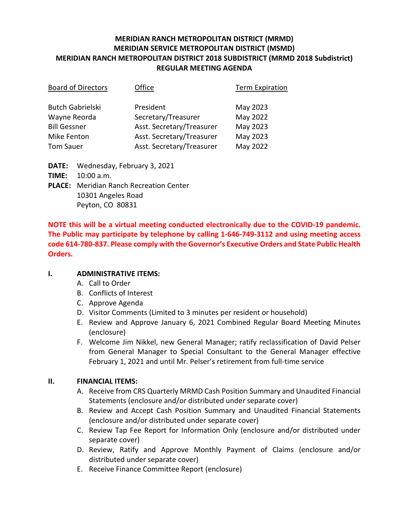# **MERIDIAN RANCH METROPOLITAN DISTRICT (MRMD) MERIDIAN SERVICE METROPOLITAN DISTRICT (MSMD) MERIDIAN RANCH METROPOLITAN DISTRICT 2018 SUBDISTRICT (MRMD 2018 Subdistrict) REGULAR MEETING AGENDA**

| <b>Board of Directors</b> | Office                    | <b>Term Expiration</b> |
|---------------------------|---------------------------|------------------------|
| <b>Butch Gabrielski</b>   | President                 | May 2023               |
| Wayne Reorda              | Secretary/Treasurer       | May 2022               |
| <b>Bill Gessner</b>       | Asst. Secretary/Treasurer | May 2023               |
| <b>Mike Fenton</b>        | Asst. Secretary/Treasurer | May 2023               |
| <b>Tom Sauer</b>          | Asst. Secretary/Treasurer | May 2022               |

**DATE:** Wednesday, February 3, 2021 **TIME:** 10:00 a.m. **PLACE:** Meridian Ranch Recreation Center 10301 Angeles Road

Peyton, CO 80831

**NOTE this will be a virtual meeting conducted electronically due to the COVID-19 pandemic. The Public may participate by telephone by calling 1-646-749-3112 and using meeting access code 614-780-837. Please comply with the Governor's Executive Orders and State Public Health Orders.**

## **I. ADMINISTRATIVE ITEMS:**

- A. Call to Order
- B. Conflicts of Interest
- C. Approve Agenda
- D. Visitor Comments (Limited to 3 minutes per resident or household)
- E. Review and Approve January 6, 2021 Combined Regular Board Meeting Minutes (enclosure)
- F. Welcome Jim Nikkel, new General Manager; ratify reclassification of David Pelser from General Manager to Special Consultant to the General Manager effective February 1, 2021 and until Mr. Pelser's retirement from full-time service

## **II. FINANCIAL ITEMS:**

- A. Receive from CRS Quarterly MRMD Cash Position Summary and Unaudited Financial Statements (enclosure and/or distributed under separate cover)
- B. Review and Accept Cash Position Summary and Unaudited Financial Statements (enclosure and/or distributed under separate cover)
- C. Review Tap Fee Report for Information Only (enclosure and/or distributed under separate cover)
- D. Review, Ratify and Approve Monthly Payment of Claims (enclosure and/or distributed under separate cover)
- E. Receive Finance Committee Report (enclosure)